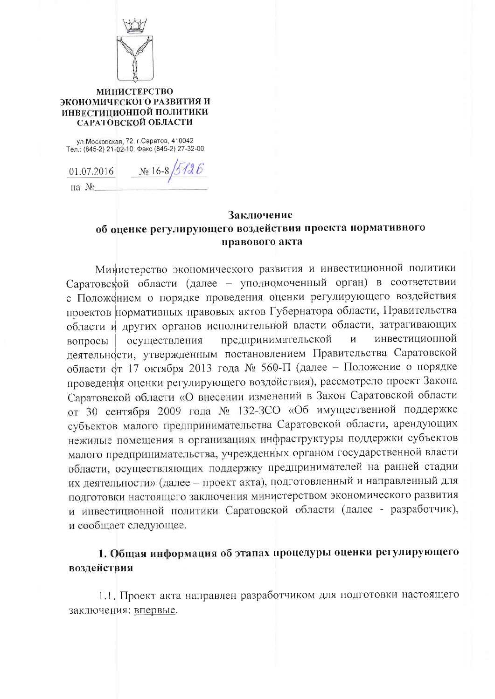

### **МИНИСТЕРСТВО** ЭКОНОМИЧЕСКОГО РАЗВИТИЯ И ИНВЕСТИЦИОННОЙ ПОЛИТИКИ САРАТОВСКОЙ ОБЛАСТИ

ул. Московская, 72, г. Саратов, 410042<br>Тел.: (845-2) 21-02-10; Факс (845-2) 27-32-00

No 16-8/5/26 01.07.2016

на №

## Заключение об оценке регулирующего воздействия проекта нормативного правового акта

Министерство экономического развития и инвестиционной политики Саратовской области (далее - уполномоченный орган) в соответствии с Положением о порядке проведения оценки регулирующего воздействия проектов нормативных правовых актов Губернатора области, Правительства области и других органов исполнительной власти области, затрагивающих предпринимательской инвестиционной осуществления  $\overline{M}$ вопросы деятельности, утвержденным постановлением Правительства Саратовской области от 17 октября 2013 года № 560-П (далее - Положение о порядке проведения оценки регулирующего воздействия), рассмотрело проект Закона Саратовской области «О внесении изменений в Закон Саратовской области от 30 сентября 2009 года № 132-3СО «Об имущественной поддержке субъектов малого предпринимательства Саратовской области, арендующих нежилые помещения в организациях инфраструктуры поддержки субъектов малого предпринимательства, учрежденных органом государственной власти области, осуществляющих поддержку предпринимателей на ранней стадии их деятельности» (далее - проект акта), подготовленный и направленный для подготовки настоящего заключения министерством экономического развития и инвестиционной политики Саратовской области (далее - разработчик), и сообщает следующее.

# 1. Общая информация об этапах процедуры оценки регулирующего воздействия

1.1. Проект акта направлен разработчиком для подготовки настоящего заключения: впервые.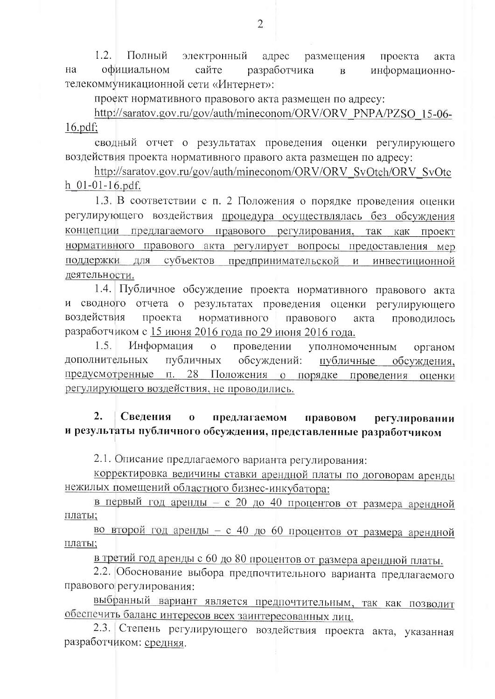$1.2<sub>1</sub>$ Полный электронный адрес размещения проекта акта на официальном сайте разработчика информационно- $\mathbf{B}$ телекоммуникационной сети «Интернет»:

проект нормативного правового акта размещен по адресу:

http://saratov.gov.ru/gov/auth/mineconom/ORV/ORV\_PNPA/PZSO\_15-06- $16.pdf$ :

сводный отчет о результатах проведения оценки регулирующего воздействия проекта нормативного правого акта размещен по адресу:

http://saratov.gov.ru/gov/auth/mineconom/ORV/ORV\_SvOtch/ORV\_SvOtc  $h$  01-01-16.pdf.

1.3. В соответствии с п. 2 Положения о порядке проведения оценки регулирующего воздействия процедура осуществлялась без обсуждения концепции предлагаемого правового регулирования, так как проект нормативного правового акта регулирует вопросы предоставления мер субъектов предпринимательской и инвестиционной поддержки для деятельности.

1.4. Публичное обсуждение проекта нормативного правового акта и сводного отчета о результатах проведения оценки регулирующего воздействия проекта нормативного правового акта проводилось разработчиком с 15 июня 2016 года по 29 июня 2016 года.

Информация  $1.5.$  $\overline{O}$ проведении уполномоченным органом дополнительных публичных обсуждений: публичные обсуждения. предусмотренные п. 28 Положения о порядке проведения оценки регулирующего воздействия, не проводились.

#### $2.$ Свеления  $\mathbf{o}$ предлагаемом правовом регулировании и результаты публичного обсуждения, представленные разработчиком

2.1. Описание предлагаемого варианта регулирования:

корректировка величины ставки арендной платы по договорам аренды нежилых помещений областного бизнес-инкубатора:

в первый год аренды - с 20 до 40 процентов от размера арендной платы;

во второй год аренды - с 40 до 60 процентов от размера арендной платы;

в третий год аренды с 60 до 80 процентов от размера арендной платы.

2.2. Обоснование выбора предпочтительного варианта предлагаемого правового регулирования:

выбранный вариант является предпочтительным, так как позволит обеспечить баланс интересов всех заинтересованных лиц.

2.3. Степень регулирующего воздействия проекта акта, указанная разработчиком: средняя.

 $\overline{2}$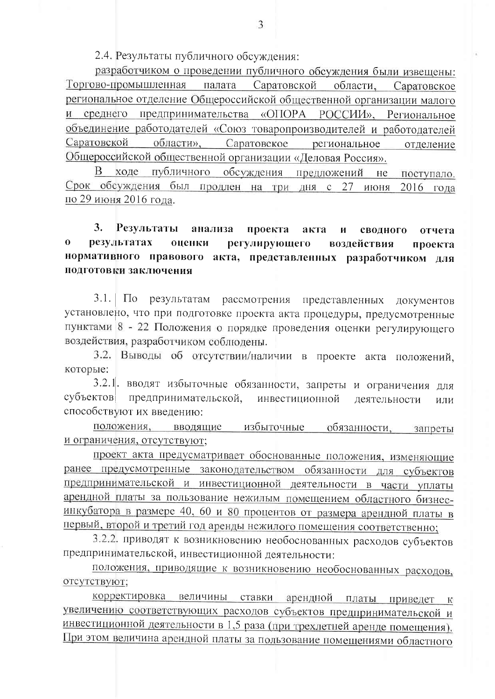2.4. Результаты публичного обсуждения:

разработчиком о проведении публичного обсуждения были извешены: Торгово-промышленная палата Саратовской области, Саратовское региональное отделение Общероссийской общественной организации малого и среднего предпринимательства «ОПОРА РОССИИ», Региональное объединение работодателей «Союз товаропроизводителей и работодателей Саратовской области». Саратовское региональное отделение Общероссийской общественной организации «Деловая Россия».

ходе публичного обсуждения предложений  $He$ поступало. Срок обсуждения был продлен на три дня с 27 июня  $2016$  гола по 29 июня 2016 года.

#### 3. Результаты анализа проекта акта И сводного отчета  $\mathbf{o}$ результатах опенки регулирующего воздействия проекта нормативного правового акта, представленных разработчиком для подготовки заключения

 $3.1$  $\Pi$ <sub>O</sub> результатам рассмотрения представленных документов установлено, что при подготовке проекта акта процедуры, предусмотренные пунктами 8 - 22 Положения о порядке проведения оценки регулирующего воздействия, разработчиком соблюдены.

3.2. Выводы об отсутствии/наличии в проекте акта положений, которые:

3.2.1. вводят избыточные обязанности, запреты и ограничения для субъектов предпринимательской, инвестиционной деятельности или способствуют их введению:

положения, вводящие избыточные обязанности. запреты и ограничения, отсутствуют;

проект акта предусматривает обоснованные положения, изменяющие ранее предусмотренные законодательством обязанности для субъектов предпринимательской и инвестиционной деятельности в части уплаты арендной платы за пользование нежилым помещением областного бизнесинкубатора в размере 40, 60 и 80 процентов от размера арендной платы в первый, второй и третий год аренды нежилого помещения соответственно;

3.2.2. приводят к возникновению необоснованных расходов субъектов предпринимательской, инвестиционной деятельности:

положения, приводящие к возникновению необоснованных расходов, отсутствуют;

корректировка величины ставки арендной платы приведет к увеличению соответствующих расходов субъектов предпринимательской и инвестиционной деятельности в 1,5 раза (при трехлетней аренде помещения). При этом величина арендной платы за пользование помещениями областного